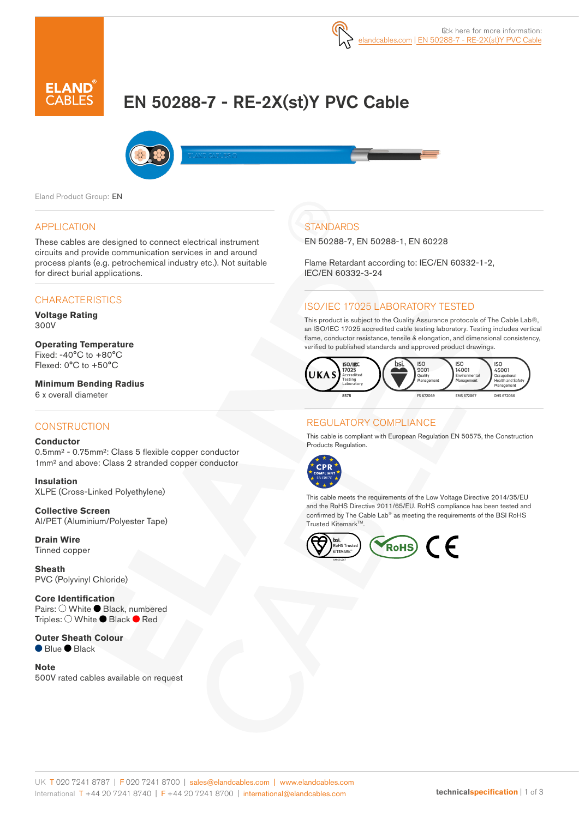

# EN 50288-7 - RE-2X(st)Y PVC Cable



Eland Product Group: EN

#### APPLICATION

These cables are designed to connect electrical instrument circuits and provide communication services in and around process plants (e.g. petrochemical industry etc.). Not suitable for direct burial applications.

#### **CHARACTERISTICS**

**Voltage Rating**  300V

**Operating Temperature** Fixed: -40°C to +80°C Flexed: 0°C to +50°C

**Minimum Bending Radius** 6 x overall diameter

## **CONSTRUCTION**

#### **Conductor**

0.5mm² - 0.75mm²: Class 5 flexible copper conductor 1mm² and above: Class 2 stranded copper conductor

**Insulation** XLPE (Cross-Linked Polyethylene)

**Collective Screen** Al/PET (Aluminium/Polyester Tape)

**Drain Wire** Tinned copper

**Sheath** PVC (Polyvinyl Chloride)

**Core Identification** Pairs: ○ White ● Black, numbered Triples: ○ White ● Black ● Red

**Outer Sheath Colour** ● Blue ● Black

**Note** 500V rated cables available on request

## **STANDARDS**

EN 50288-7, EN 50288-1, EN 60228

Flame Retardant according to: IEC/EN 60332-1-2, IEC/EN 60332-3-24

## ISO/IEC 17025 LABORATORY TESTED

This product is subject to the Quality Assurance protocols of The Cable Lab®, an ISO/IEC 17025 accredited cable testing laboratory. Testing includes vertical flame, conductor resistance, tensile & elongation, and dimensional consistency, verified to published standards and approved product drawings.



## REGULATORY COMPLIANCE

This cable is compliant with European Regulation EN 50575, the Construction Products Regulation.



This cable meets the requirements of the Low Voltage Directive 2014/35/EU and the RoHS Directive 2011/65/EU. RoHS compliance has been tested and confirmed by The Cable Lab® as meeting the requirements of the BSI RoHS Trusted Kitemark<sup>™</sup>

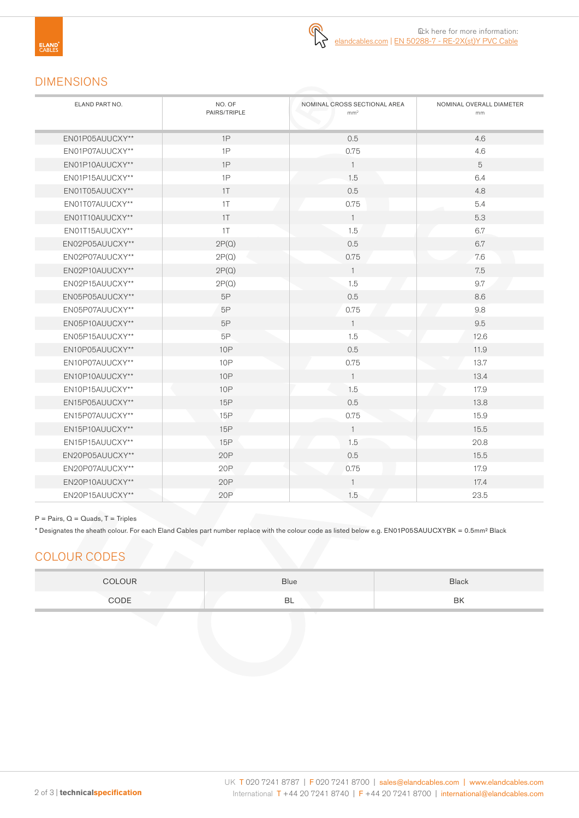# DIMENSIONS

| ELAND PART NO.  | NO. OF<br>PAIRS/TRIPLE | NOMINAL CROSS SECTIONAL AREA<br>mm <sup>2</sup> | NOMINAL OVERALL DIAMETER<br>mm |
|-----------------|------------------------|-------------------------------------------------|--------------------------------|
| EN01P05AUUCXY** | 1P                     | 0.5                                             | 4.6                            |
| EN01P07AUUCXY** | 1P                     | 0.75                                            | 4.6                            |
| EN01P10AUUCXY** | 1P                     | $\mathbf{1}$                                    | 5                              |
| EN01P15AUUCXY** | 1P                     | 1.5                                             | 6.4                            |
| EN01T05AUUCXY** | 1T                     | 0.5                                             | 4.8                            |
| EN01T07AUUCXY** | 1T                     | 0.75                                            | 5.4                            |
| EN01T10AUUCXY** | 1T                     | $\overline{1}$                                  | 5.3                            |
| EN01T15AUUCXY** | 1T                     | 1.5                                             | 6.7                            |
| EN02P05AUUCXY** | 2P(Q)                  | 0.5                                             | 6.7                            |
| EN02P07AUUCXY** | 2P(Q)                  | 0.75                                            | 7.6                            |
| EN02P10AUUCXY** | 2P(Q)                  | $\mathbf{1}$                                    | 7.5                            |
| EN02P15AUUCXY** | 2P(Q)                  | 1.5                                             | 9.7                            |
| EN05P05AUUCXY** | 5P                     | 0.5                                             | 8.6                            |
| EN05P07AUUCXY** | 5P                     | 0.75                                            | 9.8                            |
| EN05P10AUUCXY** | 5P                     | $\mathbf{1}$                                    | 9.5                            |
| EN05P15AUUCXY** | 5P                     | 1.5                                             | 12.6                           |
| EN10P05AUUCXY** | <b>10P</b>             | 0.5                                             | 11.9                           |
| EN10P07AUUCXY** | 10P                    | 0.75                                            | 13.7                           |
| EN10P10AUUCXY** | 10P                    | $\overline{1}$                                  | 13.4                           |
| EN10P15AUUCXY** | <b>10P</b>             | 1.5                                             | 17.9                           |
| EN15P05AUUCXY** | 15P                    | 0.5                                             | 13.8                           |
| EN15P07AUUCXY** | <b>15P</b>             | 0.75                                            | 15.9                           |
| EN15P10AUUCXY** | 15P                    | $\overline{1}$                                  | 15.5                           |
| EN15P15AUUCXY** | <b>15P</b>             | 1.5                                             | 20.8                           |
| EN20P05AUUCXY** | 20P                    | 0.5                                             | 15.5                           |
| EN20P07AUUCXY** | 20P                    | 0.75                                            | 17.9                           |
| EN20P10AUUCXY** | 20P                    | $\overline{1}$                                  | 17.4                           |
| EN20P15AUUCXY** | 20P                    | 1.5                                             | 23.5                           |

### $P = \text{Pairs}, Q = \text{Quads}, T = \text{Triples}$

\* Designates the sheath colour. For each Eland Cables part number replace with the colour code as listed below e.g. EN01P05SAUUCXYBK = 0.5mm² Black

# COLOUR CODES

| <b>COLOUR</b> | <b>Blue</b> | <b>Black</b> |
|---------------|-------------|--------------|
| CODE          | D1<br>DL.   | BK           |